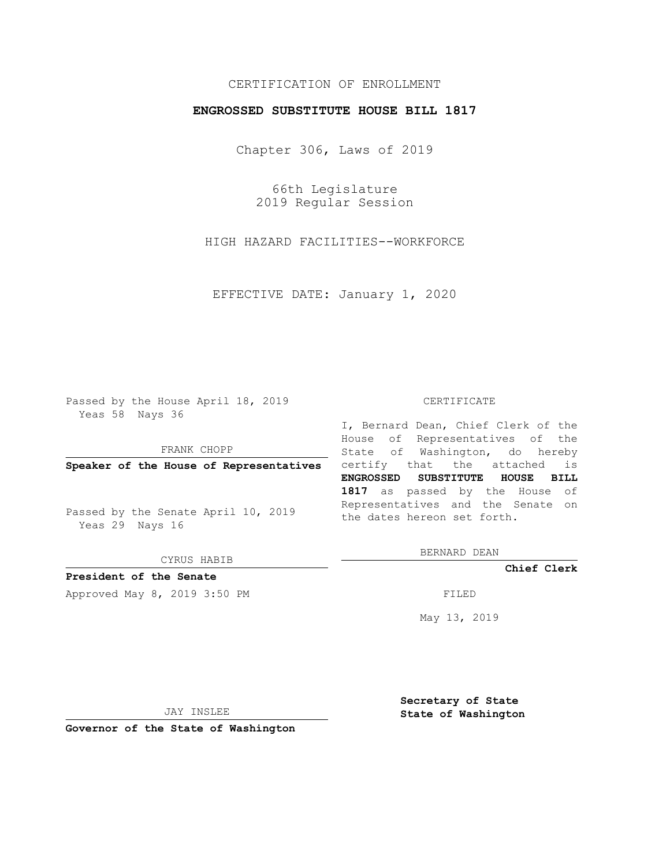## CERTIFICATION OF ENROLLMENT

### **ENGROSSED SUBSTITUTE HOUSE BILL 1817**

Chapter 306, Laws of 2019

66th Legislature 2019 Regular Session

HIGH HAZARD FACILITIES--WORKFORCE

EFFECTIVE DATE: January 1, 2020

Passed by the House April 18, 2019 Yeas 58 Nays 36

FRANK CHOPP

Passed by the Senate April 10, 2019 Yeas 29 Nays 16

CYRUS HABIB

## **President of the Senate**

Approved May 8, 2019 3:50 PM

#### CERTIFICATE

**Speaker of the House of Representatives** certify that the attached is I, Bernard Dean, Chief Clerk of the House of Representatives of the State of Washington, do hereby **ENGROSSED SUBSTITUTE HOUSE BILL 1817** as passed by the House of Representatives and the Senate on the dates hereon set forth.

BERNARD DEAN

**Chief Clerk**

May 13, 2019

JAY INSLEE

**Governor of the State of Washington**

**Secretary of State State of Washington**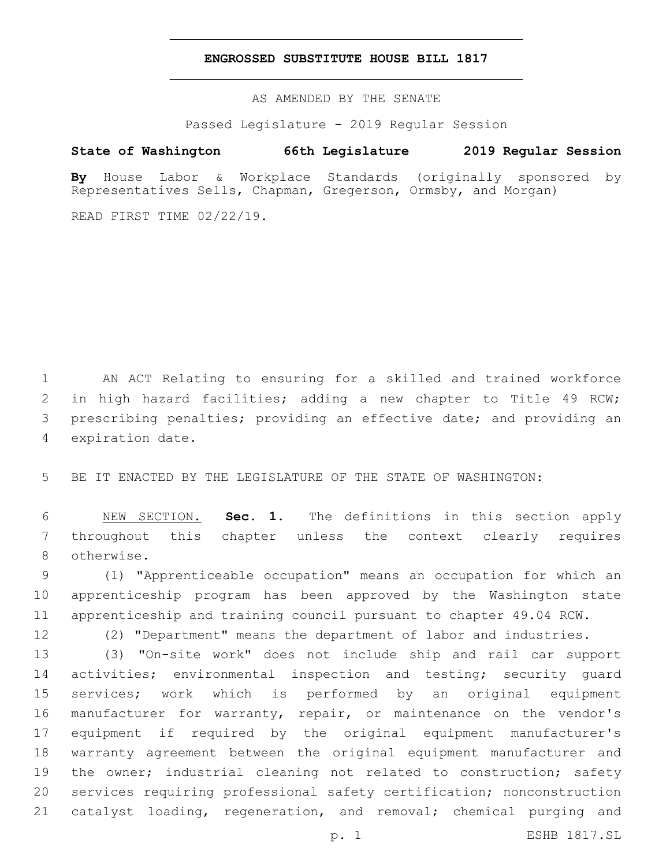### **ENGROSSED SUBSTITUTE HOUSE BILL 1817**

AS AMENDED BY THE SENATE

Passed Legislature - 2019 Regular Session

# **State of Washington 66th Legislature 2019 Regular Session**

**By** House Labor & Workplace Standards (originally sponsored by Representatives Sells, Chapman, Gregerson, Ormsby, and Morgan)

READ FIRST TIME 02/22/19.

 AN ACT Relating to ensuring for a skilled and trained workforce in high hazard facilities; adding a new chapter to Title 49 RCW; prescribing penalties; providing an effective date; and providing an 4 expiration date.

BE IT ENACTED BY THE LEGISLATURE OF THE STATE OF WASHINGTON:

 NEW SECTION. **Sec. 1.** The definitions in this section apply throughout this chapter unless the context clearly requires otherwise.

 (1) "Apprenticeable occupation" means an occupation for which an apprenticeship program has been approved by the Washington state apprenticeship and training council pursuant to chapter 49.04 RCW.

(2) "Department" means the department of labor and industries.

 (3) "On-site work" does not include ship and rail car support 14 activities; environmental inspection and testing; security guard services; work which is performed by an original equipment manufacturer for warranty, repair, or maintenance on the vendor's equipment if required by the original equipment manufacturer's warranty agreement between the original equipment manufacturer and 19 the owner; industrial cleaning not related to construction; safety services requiring professional safety certification; nonconstruction catalyst loading, regeneration, and removal; chemical purging and

p. 1 ESHB 1817.SL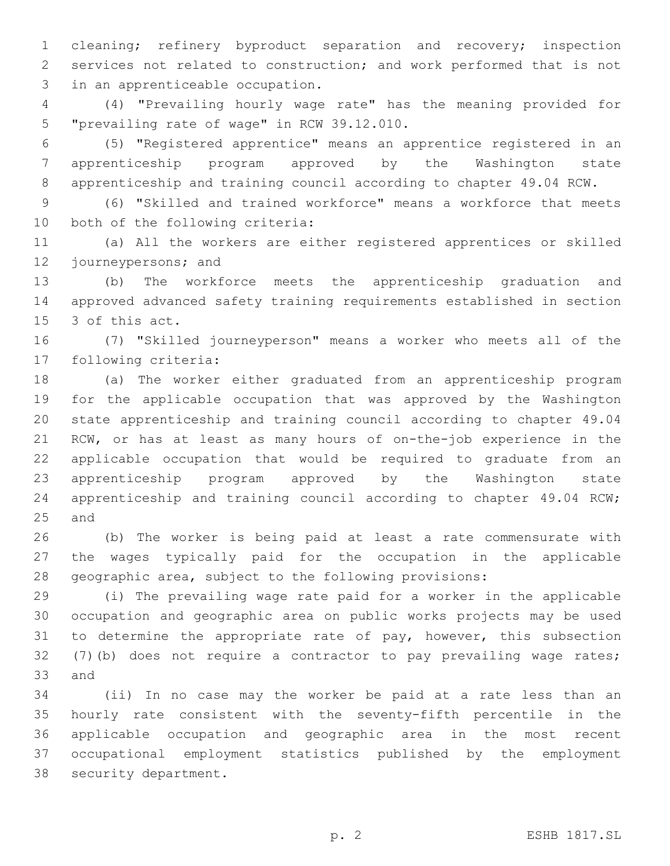cleaning; refinery byproduct separation and recovery; inspection services not related to construction; and work performed that is not 3 in an apprenticeable occupation.

 (4) "Prevailing hourly wage rate" has the meaning provided for 5 "prevailing rate of wage" in RCW 39.12.010.

 (5) "Registered apprentice" means an apprentice registered in an apprenticeship program approved by the Washington state apprenticeship and training council according to chapter 49.04 RCW.

 (6) "Skilled and trained workforce" means a workforce that meets 10 both of the following criteria:

 (a) All the workers are either registered apprentices or skilled 12 journeypersons; and

 (b) The workforce meets the apprenticeship graduation and approved advanced safety training requirements established in section 15 3 of this act.

 (7) "Skilled journeyperson" means a worker who meets all of the 17 following criteria:

 (a) The worker either graduated from an apprenticeship program for the applicable occupation that was approved by the Washington state apprenticeship and training council according to chapter 49.04 RCW, or has at least as many hours of on-the-job experience in the applicable occupation that would be required to graduate from an apprenticeship program approved by the Washington state apprenticeship and training council according to chapter 49.04 RCW; 25 and

 (b) The worker is being paid at least a rate commensurate with the wages typically paid for the occupation in the applicable geographic area, subject to the following provisions:

 (i) The prevailing wage rate paid for a worker in the applicable occupation and geographic area on public works projects may be used 31 to determine the appropriate rate of pay, however, this subsection (7)(b) does not require a contractor to pay prevailing wage rates; 33 and

 (ii) In no case may the worker be paid at a rate less than an hourly rate consistent with the seventy-fifth percentile in the applicable occupation and geographic area in the most recent occupational employment statistics published by the employment 38 security department.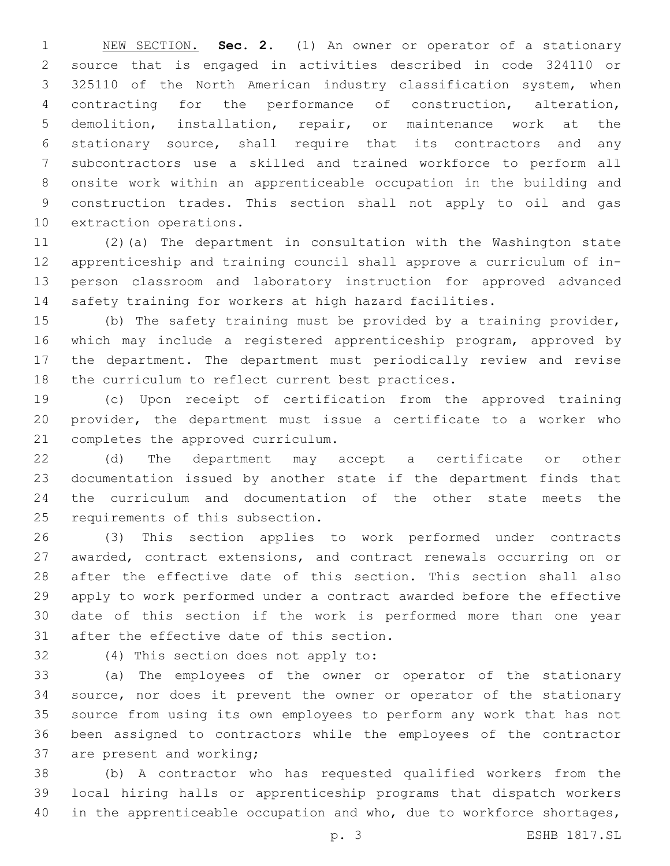NEW SECTION. **Sec. 2.** (1) An owner or operator of a stationary source that is engaged in activities described in code 324110 or 325110 of the North American industry classification system, when contracting for the performance of construction, alteration, demolition, installation, repair, or maintenance work at the stationary source, shall require that its contractors and any subcontractors use a skilled and trained workforce to perform all onsite work within an apprenticeable occupation in the building and construction trades. This section shall not apply to oil and gas extraction operations.

 (2)(a) The department in consultation with the Washington state apprenticeship and training council shall approve a curriculum of in- person classroom and laboratory instruction for approved advanced safety training for workers at high hazard facilities.

 (b) The safety training must be provided by a training provider, which may include a registered apprenticeship program, approved by the department. The department must periodically review and revise 18 the curriculum to reflect current best practices.

 (c) Upon receipt of certification from the approved training provider, the department must issue a certificate to a worker who 21 completes the approved curriculum.

 (d) The department may accept a certificate or other documentation issued by another state if the department finds that the curriculum and documentation of the other state meets the 25 requirements of this subsection.

 (3) This section applies to work performed under contracts awarded, contract extensions, and contract renewals occurring on or after the effective date of this section. This section shall also apply to work performed under a contract awarded before the effective date of this section if the work is performed more than one year 31 after the effective date of this section.

32 (4) This section does not apply to:

 (a) The employees of the owner or operator of the stationary source, nor does it prevent the owner or operator of the stationary source from using its own employees to perform any work that has not been assigned to contractors while the employees of the contractor 37 are present and working;

 (b) A contractor who has requested qualified workers from the local hiring halls or apprenticeship programs that dispatch workers 40 in the apprenticeable occupation and who, due to workforce shortages,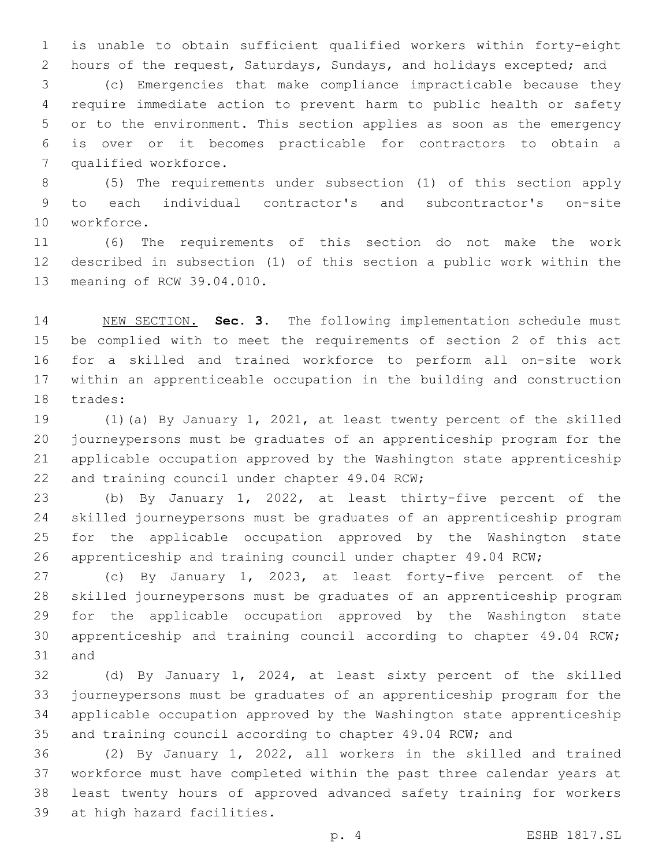is unable to obtain sufficient qualified workers within forty-eight hours of the request, Saturdays, Sundays, and holidays excepted; and

 (c) Emergencies that make compliance impracticable because they require immediate action to prevent harm to public health or safety or to the environment. This section applies as soon as the emergency is over or it becomes practicable for contractors to obtain a 7 qualified workforce.

 (5) The requirements under subsection (1) of this section apply to each individual contractor's and subcontractor's on-site 10 workforce.

 (6) The requirements of this section do not make the work described in subsection (1) of this section a public work within the 13 meaning of RCW 39.04.010.

 NEW SECTION. **Sec. 3.** The following implementation schedule must be complied with to meet the requirements of section 2 of this act for a skilled and trained workforce to perform all on-site work within an apprenticeable occupation in the building and construction trades:

 (1)(a) By January 1, 2021, at least twenty percent of the skilled journeypersons must be graduates of an apprenticeship program for the applicable occupation approved by the Washington state apprenticeship 22 and training council under chapter 49.04 RCW;

 (b) By January 1, 2022, at least thirty-five percent of the skilled journeypersons must be graduates of an apprenticeship program for the applicable occupation approved by the Washington state apprenticeship and training council under chapter 49.04 RCW;

 (c) By January 1, 2023, at least forty-five percent of the skilled journeypersons must be graduates of an apprenticeship program for the applicable occupation approved by the Washington state apprenticeship and training council according to chapter 49.04 RCW; 31 and

 (d) By January 1, 2024, at least sixty percent of the skilled journeypersons must be graduates of an apprenticeship program for the applicable occupation approved by the Washington state apprenticeship and training council according to chapter 49.04 RCW; and

 (2) By January 1, 2022, all workers in the skilled and trained workforce must have completed within the past three calendar years at least twenty hours of approved advanced safety training for workers 39 at high hazard facilities.